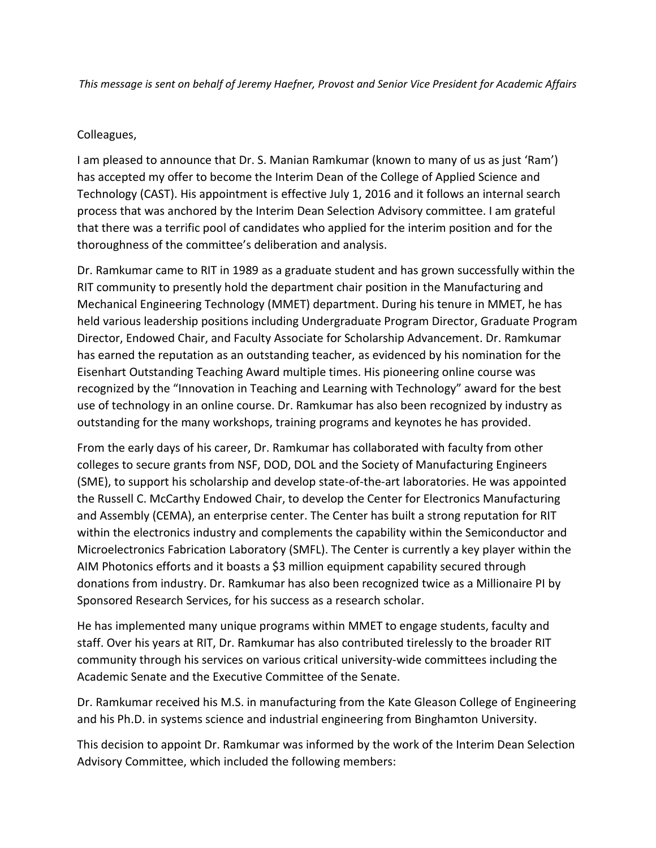*This message is sent on behalf of Jeremy Haefner, Provost and Senior Vice President for Academic Affairs*

## Colleagues,

I am pleased to announce that Dr. S. Manian Ramkumar (known to many of us as just 'Ram') has accepted my offer to become the Interim Dean of the College of Applied Science and Technology (CAST). His appointment is effective July 1, 2016 and it follows an internal search process that was anchored by the Interim Dean Selection Advisory committee. I am grateful that there was a terrific pool of candidates who applied for the interim position and for the thoroughness of the committee's deliberation and analysis.

Dr. Ramkumar came to RIT in 1989 as a graduate student and has grown successfully within the RIT community to presently hold the department chair position in the Manufacturing and Mechanical Engineering Technology (MMET) department. During his tenure in MMET, he has held various leadership positions including Undergraduate Program Director, Graduate Program Director, Endowed Chair, and Faculty Associate for Scholarship Advancement. Dr. Ramkumar has earned the reputation as an outstanding teacher, as evidenced by his nomination for the Eisenhart Outstanding Teaching Award multiple times. His pioneering online course was recognized by the "Innovation in Teaching and Learning with Technology" award for the best use of technology in an online course. Dr. Ramkumar has also been recognized by industry as outstanding for the many workshops, training programs and keynotes he has provided.

From the early days of his career, Dr. Ramkumar has collaborated with faculty from other colleges to secure grants from NSF, DOD, DOL and the Society of Manufacturing Engineers (SME), to support his scholarship and develop state-of-the-art laboratories. He was appointed the Russell C. McCarthy Endowed Chair, to develop the Center for Electronics Manufacturing and Assembly (CEMA), an enterprise center. The Center has built a strong reputation for RIT within the electronics industry and complements the capability within the Semiconductor and Microelectronics Fabrication Laboratory (SMFL). The Center is currently a key player within the AIM Photonics efforts and it boasts a \$3 million equipment capability secured through donations from industry. Dr. Ramkumar has also been recognized twice as a Millionaire PI by Sponsored Research Services, for his success as a research scholar.

He has implemented many unique programs within MMET to engage students, faculty and staff. Over his years at RIT, Dr. Ramkumar has also contributed tirelessly to the broader RIT community through his services on various critical university-wide committees including the Academic Senate and the Executive Committee of the Senate.

Dr. Ramkumar received his M.S. in manufacturing from the Kate Gleason College of Engineering and his Ph.D. in systems science and industrial engineering from Binghamton University.

This decision to appoint Dr. Ramkumar was informed by the work of the Interim Dean Selection Advisory Committee, which included the following members: